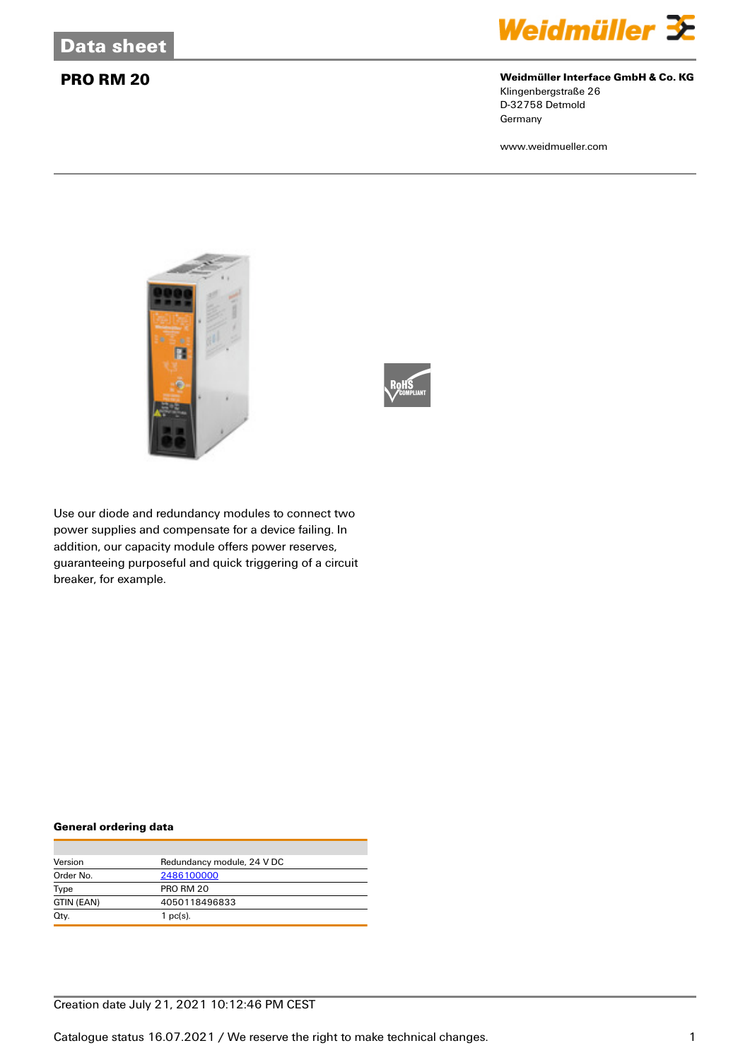

# **PRO RM 20 Weidmüller Interface GmbH & Co. KG**

Klingenbergstraße 26 D-32758 Detmold Germany

www.weidmueller.com





Use our diode and redundancy modules to connect two power supplies and compensate for a device failing. In addition, our capacity module offers power reserves, guaranteeing purposeful and quick triggering of a circuit breaker, for example.

### **General ordering data**

| Version    | Redundancy module, 24 V DC |
|------------|----------------------------|
| Order No.  | 2486100000                 |
| Type       | <b>PRO RM 20</b>           |
| GTIN (EAN) | 4050118496833              |
| Qty.       | $1$ pc(s).                 |

# Creation date July 21, 2021 10:12:46 PM CEST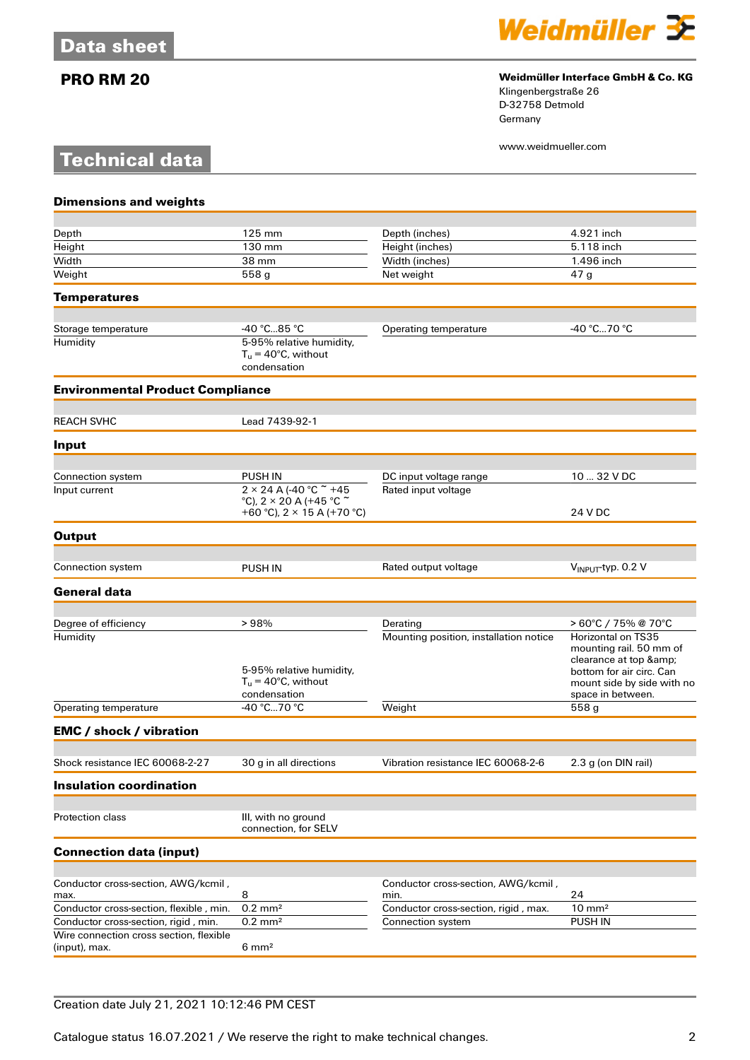**Technical data**



# **PRO RM 20 Weidmüller Interface GmbH & Co. KG**

Klingenbergstraße 26 D-32758 Detmold Germany

www.weidmueller.com

| $125 \text{ mm}$                                                                   | Depth (inches)                                                                                                                        | 4.921 inch                                                                                                                                                                                                       |
|------------------------------------------------------------------------------------|---------------------------------------------------------------------------------------------------------------------------------------|------------------------------------------------------------------------------------------------------------------------------------------------------------------------------------------------------------------|
|                                                                                    |                                                                                                                                       | 5.118 inch                                                                                                                                                                                                       |
|                                                                                    |                                                                                                                                       | 1.496 inch                                                                                                                                                                                                       |
|                                                                                    |                                                                                                                                       | 47 <sub>g</sub>                                                                                                                                                                                                  |
|                                                                                    |                                                                                                                                       |                                                                                                                                                                                                                  |
|                                                                                    |                                                                                                                                       | -40 °C70 °C                                                                                                                                                                                                      |
| 5-95% relative humidity,<br>$T_u = 40^{\circ}$ C, without<br>condensation          |                                                                                                                                       |                                                                                                                                                                                                                  |
| <b>Environmental Product Compliance</b>                                            |                                                                                                                                       |                                                                                                                                                                                                                  |
|                                                                                    |                                                                                                                                       |                                                                                                                                                                                                                  |
|                                                                                    |                                                                                                                                       |                                                                                                                                                                                                                  |
|                                                                                    |                                                                                                                                       |                                                                                                                                                                                                                  |
| <b>PUSH IN</b>                                                                     | DC input voltage range                                                                                                                | 10  32 V DC                                                                                                                                                                                                      |
| °C), 2 $\times$ 20 A (+45 °C $\tilde{ }$<br>+60 °C), $2 \times 15$ A (+70 °C)      |                                                                                                                                       | 24 V DC                                                                                                                                                                                                          |
|                                                                                    |                                                                                                                                       |                                                                                                                                                                                                                  |
|                                                                                    |                                                                                                                                       |                                                                                                                                                                                                                  |
| <b>PUSH IN</b>                                                                     |                                                                                                                                       | V <sub>INPUT</sub> -typ. 0.2 V                                                                                                                                                                                   |
|                                                                                    |                                                                                                                                       |                                                                                                                                                                                                                  |
|                                                                                    |                                                                                                                                       |                                                                                                                                                                                                                  |
| 5-95% relative humidity,<br>$T_{\text{u}} = 40^{\circ}$ C, without<br>condensation | Mounting position, installation notice                                                                                                | > 60°C / 75% @ 70°C<br><b>Horizontal on TS35</b><br>mounting rail. 50 mm of<br>clearance at top &<br>bottom for air circ. Can<br>mount side by side with no<br>space in between.                                 |
| $-40 °C$ 70 °C                                                                     | Weight                                                                                                                                | 558 <sub>g</sub>                                                                                                                                                                                                 |
|                                                                                    |                                                                                                                                       |                                                                                                                                                                                                                  |
|                                                                                    |                                                                                                                                       | 2.3 g (on DIN rail)                                                                                                                                                                                              |
|                                                                                    |                                                                                                                                       |                                                                                                                                                                                                                  |
|                                                                                    |                                                                                                                                       |                                                                                                                                                                                                                  |
| III, with no ground<br>connection, for SELV                                        |                                                                                                                                       |                                                                                                                                                                                                                  |
|                                                                                    |                                                                                                                                       |                                                                                                                                                                                                                  |
|                                                                                    |                                                                                                                                       |                                                                                                                                                                                                                  |
| 8                                                                                  | min.                                                                                                                                  | 24                                                                                                                                                                                                               |
| $0.2 \text{ mm}^2$                                                                 | Conductor cross-section, rigid, max.                                                                                                  | $10 \text{ mm}^2$                                                                                                                                                                                                |
| $0.2 \text{ mm}^2$                                                                 | Connection system                                                                                                                     | PUSH IN                                                                                                                                                                                                          |
| $6 \text{ mm}^2$                                                                   |                                                                                                                                       |                                                                                                                                                                                                                  |
|                                                                                    | 130 mm<br>38 mm<br>558 g<br>-40 ℃…85 ℃<br>Lead 7439-92-1<br>$2 \times 24$ A (-40 °C $\tilde{ }$ +45<br>>98%<br>30 g in all directions | Height (inches)<br>Width (inches)<br>Net weight<br>Operating temperature<br>Rated input voltage<br>Rated output voltage<br>Derating<br>Vibration resistance IEC 60068-2-6<br>Conductor cross-section, AWG/kcmil, |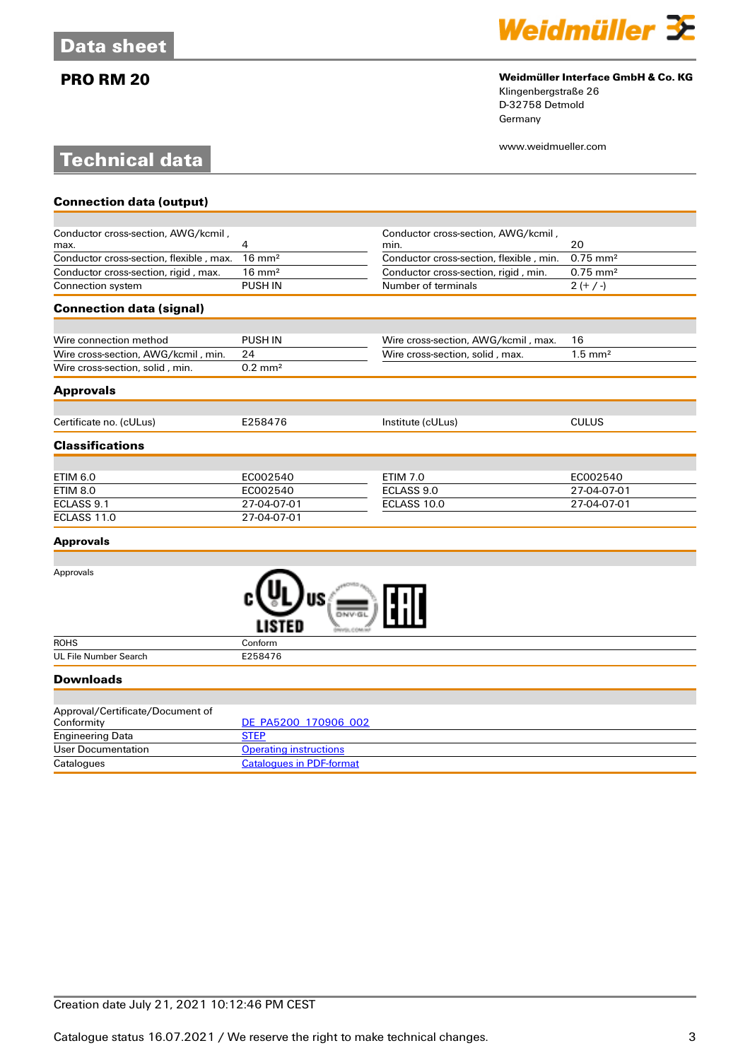# **Technical data**



# **PRO RM 20 Weidmüller Interface GmbH & Co. KG**

Klingenbergstraße 26 D-32758 Detmold Germany

www.weidmueller.com

| <b>Connection data (output)</b>         |                    |                                         |                        |
|-----------------------------------------|--------------------|-----------------------------------------|------------------------|
|                                         |                    |                                         |                        |
| Conductor cross-section, AWG/kcmil,     |                    | Conductor cross-section, AWG/kcmil,     |                        |
| max.                                    | 4                  | min.                                    | 20                     |
| Conductor cross-section, flexible, max. | $16 \text{ mm}^2$  | Conductor cross-section, flexible, min. | $0.75$ mm <sup>2</sup> |
| Conductor cross-section, rigid, max.    | $16 \text{ mm}^2$  | Conductor cross-section, rigid, min.    | $0.75 \, \text{mm}^2$  |
| Connection system                       | <b>PUSH IN</b>     | Number of terminals                     | $2 (+ / -)$            |
| <b>Connection data (signal)</b>         |                    |                                         |                        |
|                                         |                    |                                         |                        |
| Wire connection method                  | <b>PUSH IN</b>     | Wire cross-section, AWG/kcmil, max.     | 16                     |
| Wire cross-section, AWG/kcmil, min.     | 24                 | Wire cross-section, solid, max.         | $1.5 \text{ mm}^2$     |
| Wire cross-section, solid, min.         | $0.2 \text{ mm}^2$ |                                         |                        |
| <b>Approvals</b>                        |                    |                                         |                        |
| Certificate no. (cULus)                 | E258476            | Institute (cULus)                       | <b>CULUS</b>           |
| <b>Classifications</b>                  |                    |                                         |                        |
|                                         |                    |                                         |                        |
| <b>ETIM 6.0</b>                         | EC002540           | <b>ETIM 7.0</b>                         | EC002540               |
| <b>ETIM 8.0</b>                         | EC002540           | ECLASS 9.0                              | 27-04-07-01            |
| ECLASS 9.1                              | 27-04-07-01        | ECLASS 10.0                             | 27-04-07-01            |
| ECLASS 11.0                             | 27-04-07-01        |                                         |                        |
| <b>Approvals</b>                        |                    |                                         |                        |

| Approvals                                      | DNV-0<br>LISTED                 |
|------------------------------------------------|---------------------------------|
| <b>ROHS</b>                                    | Conform                         |
| UL File Number Search                          | E258476                         |
| <b>Downloads</b>                               |                                 |
| Approval/Certificate/Document of<br>Conformity | DE_PA5200_170906_002            |
| <b>Engineering Data</b>                        | <b>STEP</b>                     |
| <b>User Documentation</b>                      | <b>Operating instructions</b>   |
| Catalogues                                     | <b>Catalogues in PDF-format</b> |

| Conformity              | DE PASZUU 170900 UUZ            |
|-------------------------|---------------------------------|
| <b>Engineering Data</b> | STEF                            |
| User Documentation      | <b>Operating instructions</b>   |
| Catalogues              | <b>Catalogues in PDF-format</b> |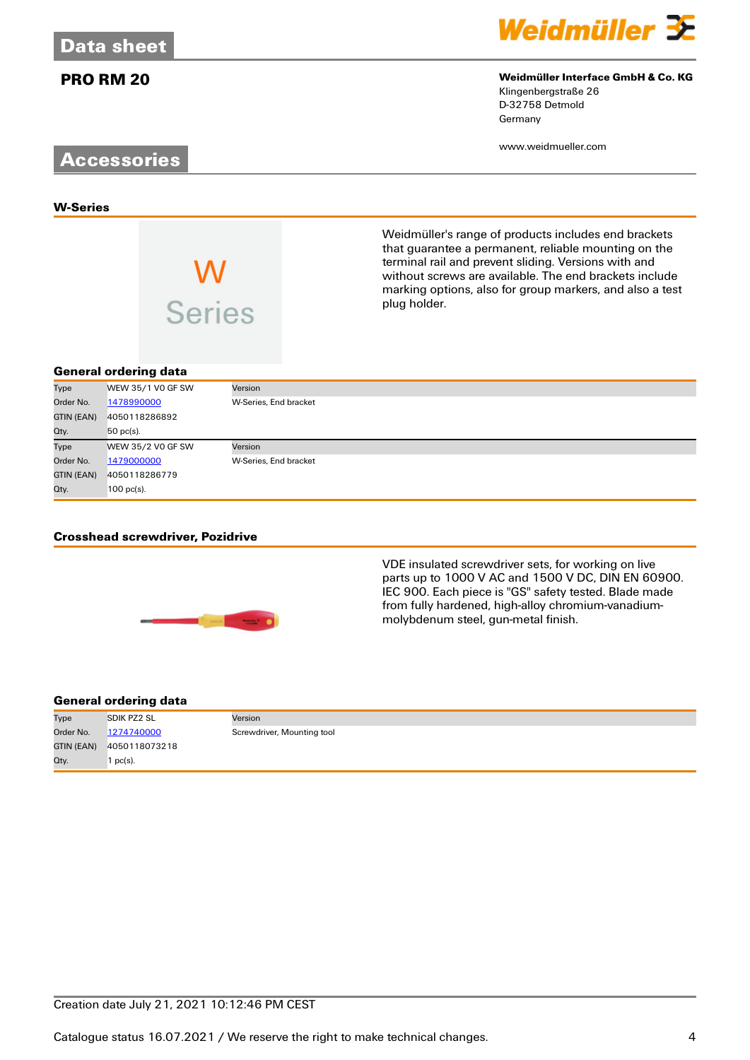

### **PRO RM 20 Weidmüller Interface GmbH & Co. KG** Klingenbergstraße 26

D-32758 Detmold Germany

Weidmüller's range of products includes end brackets that guarantee a permanent, reliable mounting on the terminal rail and prevent sliding. Versions with and without screws are available. The end brackets include marking options, also for group markers, and also a test

www.weidmueller.com

# **Accessories**

**W-Series**

**VV**<br>Series

# **General ordering data**

| Type       | WEW 35/1 VO GF SW | Version               |
|------------|-------------------|-----------------------|
| Order No.  | 1478990000        | W-Series, End bracket |
| GTIN (EAN) | 4050118286892     |                       |
| Qty.       | 50 pc(s).         |                       |
| Type       | WEW 35/2 VO GF SW | Version               |
| Order No.  | 1479000000        | W-Series, End bracket |
| GTIN (EAN) | 4050118286779     |                       |
| Qty.       | $100$ pc(s).      |                       |

plug holder.

## **Crosshead screwdriver, Pozidrive**



VDE insulated screwdriver sets, for working on live parts up to 1000 V AC and 1500 V DC, DIN EN 60900. IEC 900. Each piece is "GS" safety tested. Blade made from fully hardened, high-alloy chromium-vanadiummolybdenum steel, gun-metal finish.

## **General ordering data**

| Type       | <b>SDIK PZ2 SL</b> | Version                    |
|------------|--------------------|----------------------------|
| Order No.  | 1274740000         | Screwdriver, Mounting tool |
| GTIN (EAN) | 4050118073218      |                            |
| Qty.       | $pc(s)$ .          |                            |